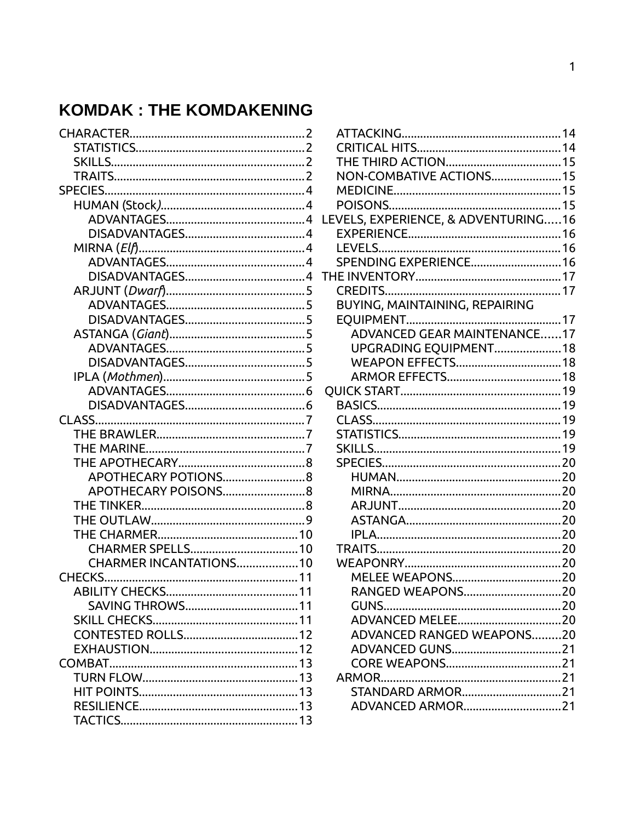# **KOMDAK: THE KOMDAKENING**

| APOTHECARY POTIONS8    |
|------------------------|
| APOTHECARY POISONS8    |
|                        |
|                        |
|                        |
|                        |
| CHARMER INCANTATIONS10 |
|                        |
|                        |
|                        |
|                        |
|                        |
|                        |
|                        |
|                        |
|                        |
|                        |
|                        |

| NON-COMBATIVE ACTIONS15             |  |
|-------------------------------------|--|
|                                     |  |
|                                     |  |
| LEVELS, EXPERIENCE, & ADVENTURING16 |  |
|                                     |  |
|                                     |  |
| SPENDING EXPERIENCE 16              |  |
|                                     |  |
|                                     |  |
| BUYING, MAINTAINING, REPAIRING      |  |
|                                     |  |
| <b>ADVANCED GEAR MAINTENANCE17</b>  |  |
| UPGRADING EQUIPMENT18               |  |
|                                     |  |
|                                     |  |
|                                     |  |
|                                     |  |
|                                     |  |
|                                     |  |
|                                     |  |
|                                     |  |
|                                     |  |
|                                     |  |
|                                     |  |
|                                     |  |
|                                     |  |
|                                     |  |
|                                     |  |
|                                     |  |
| RANGED WEAPONS20                    |  |
|                                     |  |
|                                     |  |
| <b>ADVANCED RANGED WEAPONS20</b>    |  |
|                                     |  |
|                                     |  |
|                                     |  |
| STANDARD ARMOR21                    |  |
| ADVANCED ARMOR21                    |  |
|                                     |  |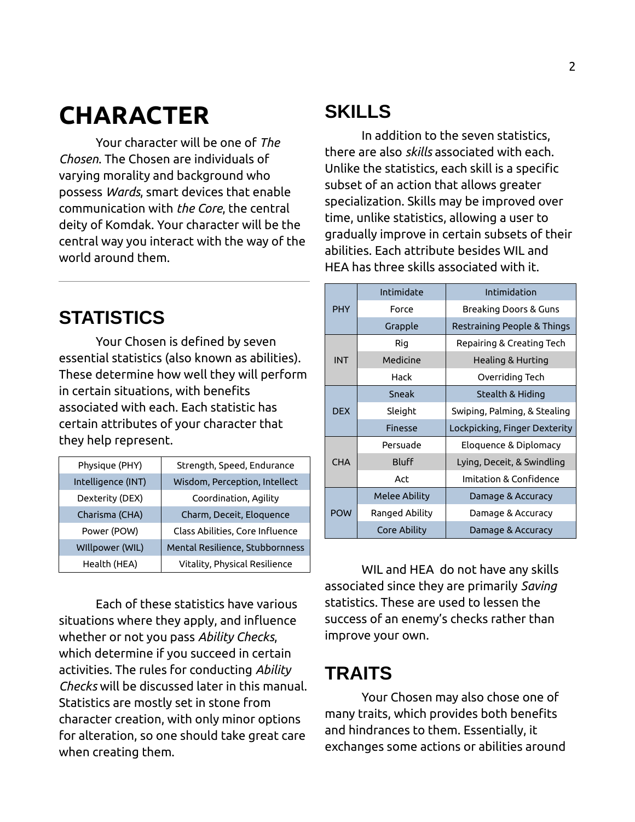# <span id="page-1-3"></span>**CHARACTER**

Your character will be one of *The Chosen*. The Chosen are individuals of varying morality and background who possess *Wards*, smart devices that enable communication with *the Core*, the central deity of Komdak. Your character will be the central way you interact with the way of the world around them.

## <span id="page-1-2"></span>**STATISTICS**

Your Chosen is defined by seven essential statistics (also known as abilities). These determine how well they will perform in certain situations, with benefits associated with each. Each statistic has certain attributes of your character that they help represent.

| Physique (PHY)     | Strength, Speed, Endurance      |
|--------------------|---------------------------------|
| Intelligence (INT) | Wisdom, Perception, Intellect   |
| Dexterity (DEX)    | Coordination, Agility           |
| Charisma (CHA)     | Charm, Deceit, Eloquence        |
| Power (POW)        | Class Abilities, Core Influence |
| WIllpower (WIL)    | Mental Resilience, Stubbornness |
| Health (HEA)       | Vitality, Physical Resilience   |

Each of these statistics have various situations where they apply, and influence whether or not you pass *Ability Checks*, which determine if you succeed in certain activities. The rules for conducting *Ability Checks* will be discussed later in this manual. Statistics are mostly set in stone from character creation, with only minor options for alteration, so one should take great care when creating them.

## <span id="page-1-1"></span>**SKILLS**

In addition to the seven statistics, there are also *skills* associated with each. Unlike the statistics, each skill is a specific subset of an action that allows greater specialization. Skills may be improved over time, unlike statistics, allowing a user to gradually improve in certain subsets of their abilities. Each attribute besides WIL and HEA has three skills associated with it.

|            | Intimidate           | Intimidation                  |
|------------|----------------------|-------------------------------|
| <b>PHY</b> | Force                | Breaking Doors & Guns         |
|            | Grapple              | Restraining People & Things   |
|            | Rig                  | Repairing & Creating Tech     |
| <b>INT</b> | Medicine             | Healing & Hurting             |
|            | Hack                 | Overriding Tech               |
|            | Sneak                | Stealth & Hiding              |
| <b>DFX</b> | Sleight              | Swiping, Palming, & Stealing  |
|            | <b>Finesse</b>       | Lockpicking, Finger Dexterity |
|            | Persuade             | Eloguence & Diplomacy         |
| <b>CHA</b> | <b>Bluff</b>         | Lying, Deceit, & Swindling    |
|            | Act                  | Imitation & Confidence        |
|            | <b>Melee Ability</b> | Damage & Accuracy             |
| <b>POW</b> | Ranged Ability       | Damage & Accuracy             |
|            | Core Ability         | Damage & Accuracy             |

WIL and HEA do not have any skills associated since they are primarily *Saving*  statistics. These are used to lessen the success of an enemy's checks rather than improve your own.

# <span id="page-1-0"></span>**TRAITS**

Your Chosen may also chose one of many traits, which provides both benefits and hindrances to them. Essentially, it exchanges some actions or abilities around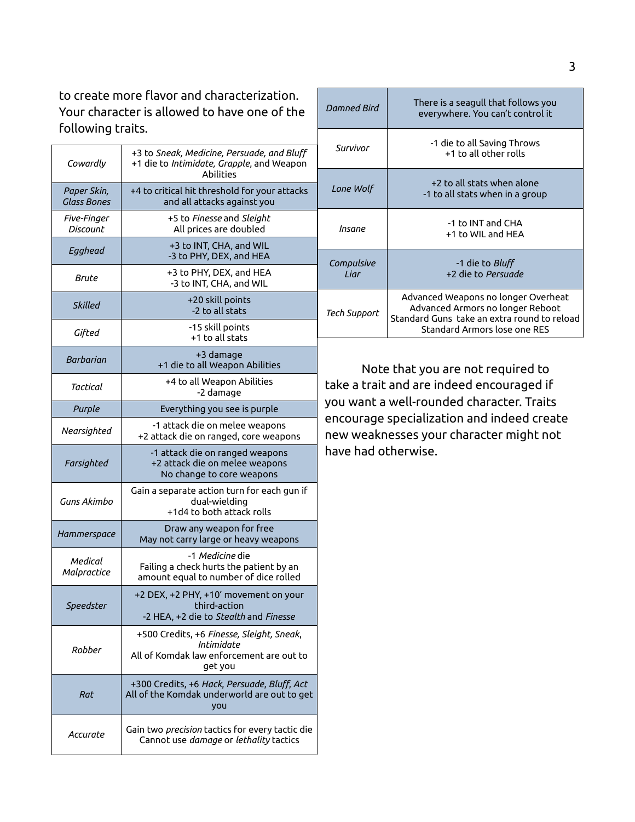to create more flavor and characterization. Your character is allowed to have one of the  $f_n$ llowing traits.

| following traits.                 |                                                                                                                |                                                                                                                                                           |                                                                                                                        |  |
|-----------------------------------|----------------------------------------------------------------------------------------------------------------|-----------------------------------------------------------------------------------------------------------------------------------------------------------|------------------------------------------------------------------------------------------------------------------------|--|
| Cowardly                          | +3 to Sneak, Medicine, Persuade, and Bluff                                                                     | Survivor                                                                                                                                                  | -1 die to all Saving Throws<br>+1 to all other rolls                                                                   |  |
|                                   | +1 die to Intimidate, Grapple, and Weapon<br>Abilities                                                         | Lone Wolf                                                                                                                                                 | +2 to all stats when alone                                                                                             |  |
| Paper Skin,<br><b>Glass Bones</b> | +4 to critical hit threshold for your attacks<br>and all attacks against you                                   |                                                                                                                                                           | -1 to all stats when in a group                                                                                        |  |
| Five-Finger<br><b>Discount</b>    | +5 to Finesse and Sleight<br>All prices are doubled                                                            | Insane                                                                                                                                                    | -1 to INT and CHA<br>+1 to WIL and HEA                                                                                 |  |
| Egghead                           | +3 to INT, CHA, and WIL<br>-3 to PHY, DEX, and HEA                                                             | Compulsive                                                                                                                                                | -1 die to Bluff                                                                                                        |  |
| Brute                             | +3 to PHY, DEX, and HEA<br>-3 to INT, CHA, and WIL                                                             | Liar                                                                                                                                                      | +2 die to Persuade                                                                                                     |  |
| <b>Skilled</b>                    | +20 skill points<br>-2 to all stats                                                                            | <b>Tech Support</b>                                                                                                                                       | Advanced Weapons no longer Overheat<br>Advanced Armors no longer Reboot<br>Standard Guns take an extra round to reload |  |
| Gifted                            | -15 skill points<br>+1 to all stats                                                                            |                                                                                                                                                           | Standard Armors lose one RES                                                                                           |  |
| <b>Barbarian</b>                  | +3 damage<br>+1 die to all Weapon Abilities                                                                    | Note that you are not required to                                                                                                                         |                                                                                                                        |  |
| Tactical                          | +4 to all Weapon Abilities<br>-2 damage                                                                        |                                                                                                                                                           | take a trait and are indeed encouraged if                                                                              |  |
| Purple                            | Everything you see is purple                                                                                   | you want a well-rounded character. Traits<br>encourage specialization and indeed create<br>new weaknesses your character might not<br>have had otherwise. |                                                                                                                        |  |
| Nearsighted                       | -1 attack die on melee weapons<br>+2 attack die on ranged, core weapons                                        |                                                                                                                                                           |                                                                                                                        |  |
| Farsighted                        | -1 attack die on ranged weapons<br>+2 attack die on melee weapons<br>No change to core weapons                 |                                                                                                                                                           |                                                                                                                        |  |
| Guns Akimbo                       | Gain a separate action turn for each gun if<br>dual-wielding<br>+1d4 to both attack rolls                      |                                                                                                                                                           |                                                                                                                        |  |
| Hammerspace                       | Draw any weapon for free<br>May not carry large or heavy weapons                                               |                                                                                                                                                           |                                                                                                                        |  |
| Medical<br>Malpractice            | -1 Medicine die<br>Failing a check hurts the patient by an<br>amount equal to number of dice rolled            |                                                                                                                                                           |                                                                                                                        |  |
| Speedster                         | +2 DEX, +2 PHY, +10' movement on your<br>third-action<br>-2 HEA, +2 die to Stealth and Finesse                 |                                                                                                                                                           |                                                                                                                        |  |
| Robber                            | +500 Credits, +6 Finesse, Sleight, Sneak,<br>Intimidate<br>All of Komdak law enforcement are out to<br>get you |                                                                                                                                                           |                                                                                                                        |  |
| Rat                               | +300 Credits, +6 Hack, Persuade, Bluff, Act<br>All of the Komdak underworld are out to get<br>you              |                                                                                                                                                           |                                                                                                                        |  |
| Accurate                          | Gain two precision tactics for every tactic die<br>Cannot use damage or lethality tactics                      |                                                                                                                                                           |                                                                                                                        |  |

*Damned Bird* There is a seagull that follows you everywhere. You can't control it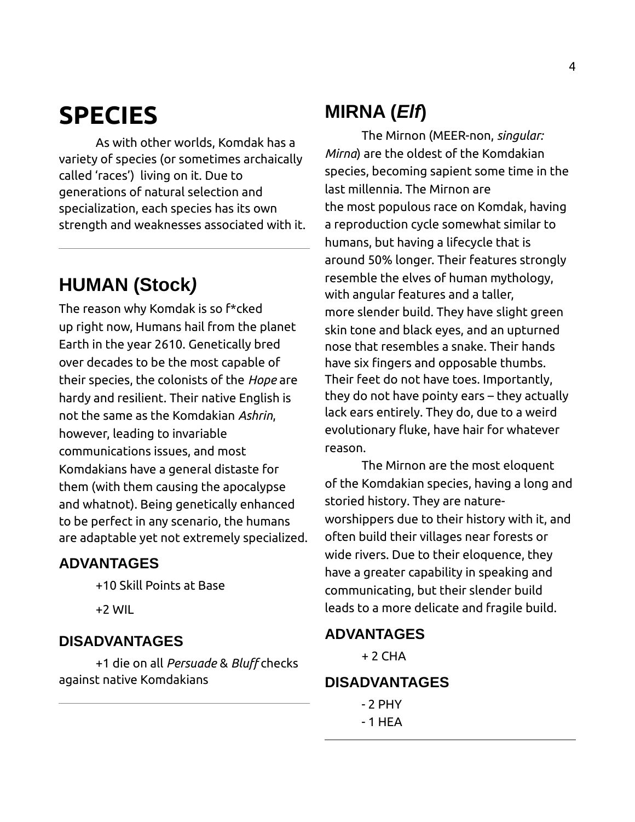# <span id="page-3-6"></span>**SPECIES**

As with other worlds, Komdak has a variety of species (or sometimes archaically called 'races') living on it. Due to generations of natural selection and specialization, each species has its own strength and weaknesses associated with it.

# <span id="page-3-5"></span>**HUMAN (Stock***)*

The reason why Komdak is so f\*cked up right now, Humans hail from the planet Earth in the year 2610. Genetically bred over decades to be the most capable of their species, the colonists of the *Hope* are hardy and resilient. Their native English is not the same as the Komdakian *Ashrin*, however, leading to invariable communications issues, and most Komdakians have a general distaste for them (with them causing the apocalypse and whatnot). Being genetically enhanced to be perfect in any scenario, the humans are adaptable yet not extremely specialized.

#### <span id="page-3-4"></span>**ADVANTAGES**

+10 Skill Points at Base

+2 WIL

#### <span id="page-3-3"></span>**DISADVANTAGES**

+1 die on all *Persuade* & *Bluff* checks against native Komdakians

### <span id="page-3-2"></span>**MIRNA (***Elf***)**

The Mirnon (MEER-non, *singular: Mirna*) are the oldest of the Komdakian species, becoming sapient some time in the last millennia. The Mirnon are the most populous race on Komdak, having a reproduction cycle somewhat similar to humans, but having a lifecycle that is around 50% longer. Their features strongly resemble the elves of human mythology, with angular features and a taller, more slender build. They have slight green skin tone and black eyes, and an upturned nose that resembles a snake. Their hands have six fingers and opposable thumbs. Their feet do not have toes. Importantly, they do not have pointy ears – they actually lack ears entirely. They do, due to a weird evolutionary fluke, have hair for whatever reason.

The Mirnon are the most eloquent of the Komdakian species, having a long and storied history. They are natureworshippers due to their history with it, and often build their villages near forests or wide rivers. Due to their eloquence, they have a greater capability in speaking and communicating, but their slender build leads to a more delicate and fragile build.

#### <span id="page-3-1"></span>**ADVANTAGES**

 $+ 2$  CHA

#### <span id="page-3-0"></span>**DISADVANTAGES**

- 2 PHY - 1 HEA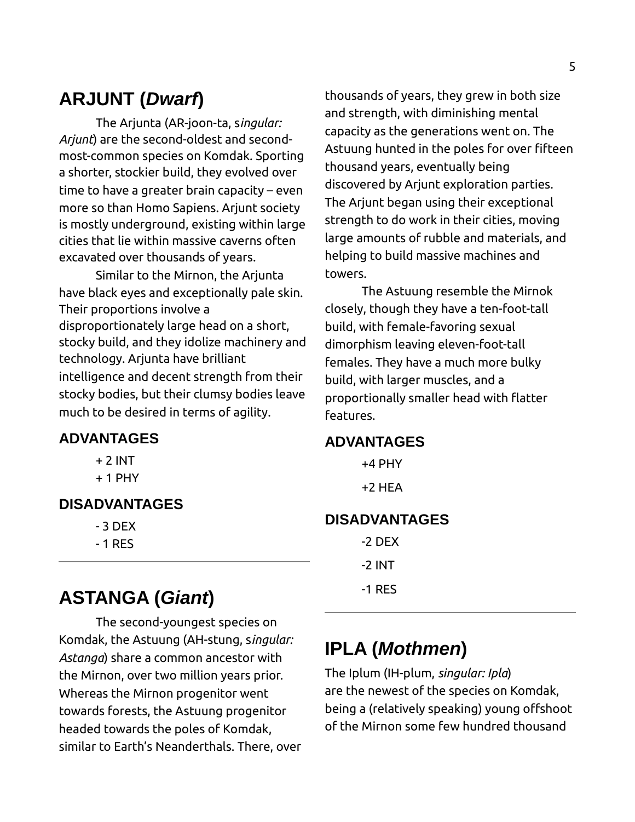# <span id="page-4-6"></span>**ARJUNT (***Dwarf***)**

The Arjunta (AR-joon-ta, s*ingular: Arjunt*) are the second-oldest and secondmost-common species on Komdak. Sporting a shorter, stockier build, they evolved over time to have a greater brain capacity – even more so than Homo Sapiens. Arjunt society is mostly underground, existing within large cities that lie within massive caverns often excavated over thousands of years.

Similar to the Mirnon, the Arjunta have black eyes and exceptionally pale skin. Their proportions involve a disproportionately large head on a short, stocky build, and they idolize machinery and technology. Arjunta have brilliant intelligence and decent strength from their stocky bodies, but their clumsy bodies leave much to be desired in terms of agility.

#### <span id="page-4-5"></span>**ADVANTAGES**

- + 2 INT
- $+ 1$  PHY

### <span id="page-4-4"></span>**DISADVANTAGES**

- 3 DEX
- 1 RES

### <span id="page-4-3"></span>**ASTANGA (***Giant***)**

The second-youngest species on Komdak, the Astuung (AH-stung, s*ingular: Astanga*) share a common ancestor with the Mirnon, over two million years prior. Whereas the Mirnon progenitor went towards forests, the Astuung progenitor headed towards the poles of Komdak, similar to Earth's Neanderthals. There, over thousands of years, they grew in both size and strength, with diminishing mental capacity as the generations went on. The Astuung hunted in the poles for over fifteen thousand years, eventually being discovered by Arjunt exploration parties. The Arjunt began using their exceptional strength to do work in their cities, moving large amounts of rubble and materials, and helping to build massive machines and towers.

The Astuung resemble the Mirnok closely, though they have a ten-foot-tall build, with female-favoring sexual dimorphism leaving eleven-foot-tall females. They have a much more bulky build, with larger muscles, and a proportionally smaller head with flatter features.

#### <span id="page-4-2"></span>**ADVANTAGES**

+4 PHY +2 HEA

#### <span id="page-4-1"></span>**DISADVANTAGES**

| -2 DEX   |
|----------|
| -2 INT . |
| -1 RES   |

### <span id="page-4-0"></span>**IPLA (***Mothmen***)**

The Iplum (IH-plum, *singular: Ipla*) are the newest of the species on Komdak, being a (relatively speaking) young offshoot of the Mirnon some few hundred thousand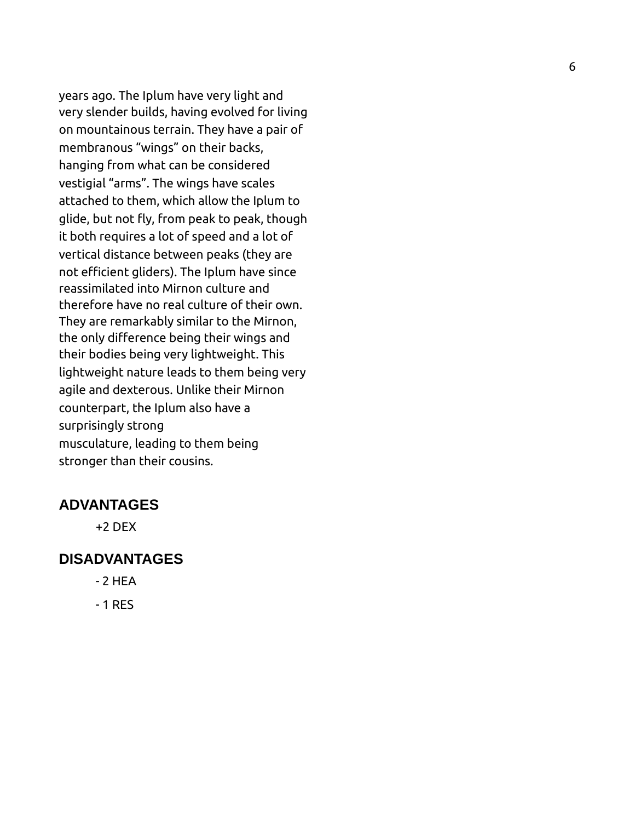years ago. The Iplum have very light and very slender builds, having evolved for living on mountainous terrain. They have a pair of membranous "wings" on their backs, hanging from what can be considered vestigial "arms". The wings have scales attached to them, which allow the Iplum to glide, but not fly, from peak to peak, though it both requires a lot of speed and a lot of vertical distance between peaks (they are not efficient gliders). The Iplum have since reassimilated into Mirnon culture and therefore have no real culture of their own. They are remarkably similar to the Mirnon, the only difference being their wings and their bodies being very lightweight. This lightweight nature leads to them being very agile and dexterous. Unlike their Mirnon counterpart, the Iplum also have a surprisingly strong musculature, leading to them being stronger than their cousins.

#### <span id="page-5-1"></span>**ADVANTAGES**

+2 DEX

#### <span id="page-5-0"></span>**DISADVANTAGES**

- 2 HEA
- 1 RES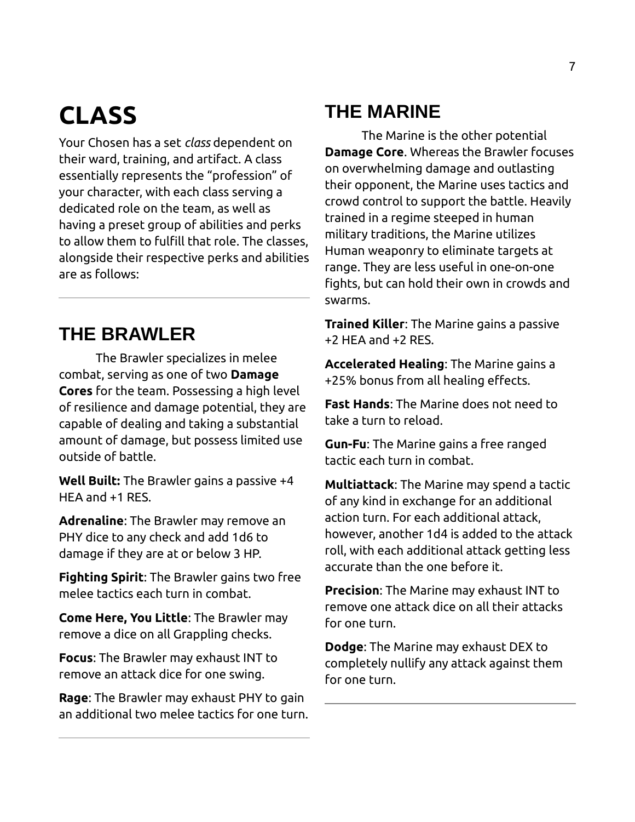# <span id="page-6-2"></span>**CLASS**

Your Chosen has a set *class* dependent on their ward, training, and artifact. A class essentially represents the "profession" of your character, with each class serving a dedicated role on the team, as well as having a preset group of abilities and perks to allow them to fulfill that role. The classes, alongside their respective perks and abilities are as follows:

# <span id="page-6-1"></span>**THE BRAWLER**

The Brawler specializes in melee combat, serving as one of two **Damage Cores** for the team. Possessing a high level of resilience and damage potential, they are capable of dealing and taking a substantial amount of damage, but possess limited use outside of battle.

**Well Built:** The Brawler gains a passive +4 HEA and +1 RES.

**Adrenaline**: The Brawler may remove an PHY dice to any check and add 1d6 to damage if they are at or below 3 HP.

**Fighting Spirit**: The Brawler gains two free melee tactics each turn in combat.

**Come Here, You Little**: The Brawler may remove a dice on all Grappling checks.

**Focus**: The Brawler may exhaust INT to remove an attack dice for one swing.

**Rage**: The Brawler may exhaust PHY to gain an additional two melee tactics for one turn.

# <span id="page-6-0"></span>**THE MARINE**

The Marine is the other potential **Damage Core**. Whereas the Brawler focuses on overwhelming damage and outlasting their opponent, the Marine uses tactics and crowd control to support the battle. Heavily trained in a regime steeped in human military traditions, the Marine utilizes Human weaponry to eliminate targets at range. They are less useful in one-on-one fights, but can hold their own in crowds and swarms.

**Trained Killer**: The Marine gains a passive +2 HEA and +2 RES.

**Accelerated Healing**: The Marine gains a +25% bonus from all healing effects.

**Fast Hands**: The Marine does not need to take a turn to reload.

**Gun-Fu**: The Marine gains a free ranged tactic each turn in combat.

**Multiattack**: The Marine may spend a tactic of any kind in exchange for an additional action turn. For each additional attack, however, another 1d4 is added to the attack roll, with each additional attack getting less accurate than the one before it.

**Precision**: The Marine may exhaust INT to remove one attack dice on all their attacks for one turn.

**Dodge**: The Marine may exhaust DEX to completely nullify any attack against them for one turn.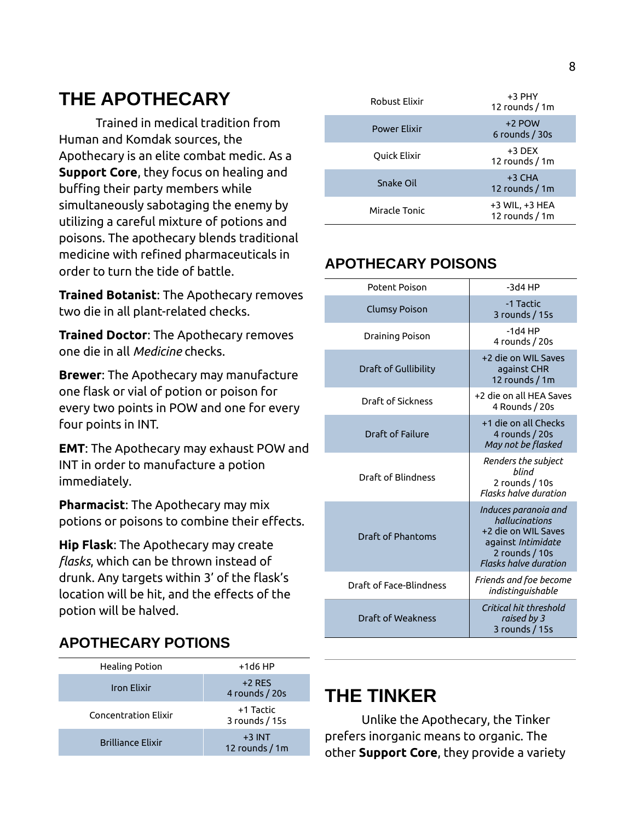# <span id="page-7-3"></span>**THE APOTHECARY**

Trained in medical tradition from Human and Komdak sources, the Apothecary is an elite combat medic. As a **Support Core**, they focus on healing and buffing their party members while simultaneously sabotaging the enemy by utilizing a careful mixture of potions and poisons. The apothecary blends traditional medicine with refined pharmaceuticals in order to turn the tide of battle.

**Trained Botanist**: The Apothecary removes two die in all plant-related checks.

**Trained Doctor**: The Apothecary removes one die in all *Medicine* checks.

**Brewer**: The Apothecary may manufacture one flask or vial of potion or poison for every two points in POW and one for every four points in INT.

**EMT**: The Apothecary may exhaust POW and INT in order to manufacture a potion immediately.

**Pharmacist**: The Apothecary may mix potions or poisons to combine their effects.

**Hip Flask**: The Apothecary may create *flasks*, which can be thrown instead of drunk. Any targets within 3' of the flask's location will be hit, and the effects of the potion will be halved.

### <span id="page-7-2"></span>**APOTHECARY POTIONS**

| Healing Potion              | $+1d6$ HP                    |
|-----------------------------|------------------------------|
| <b>Iron Flixir</b>          | $+2$ RFS<br>4 rounds / 20s   |
| <b>Concentration Flixir</b> | +1 Tactic<br>3 rounds / 15s  |
| <b>Brilliance Elixir</b>    | $+3$ INT<br>12 rounds $/1$ m |

| Robust Flixir       | $+3$ PHY<br>12 rounds $/1$ m     |
|---------------------|----------------------------------|
| <b>Power Flixir</b> | $+2$ POW<br>6 rounds $/$ 30s     |
| Quick Elixir        | $+3$ DEX<br>12 rounds / 1m       |
| Snake Oil           | $+3$ CHA<br>12 rounds $/1m$      |
| Miracle Tonic       | +3 WIL, +3 HEA<br>12 rounds / 1m |

### <span id="page-7-1"></span>**APOTHECARY POISONS**

| Potent Poison           | $-3d4HP$                                                                                                                              |
|-------------------------|---------------------------------------------------------------------------------------------------------------------------------------|
| <b>Clumsy Poison</b>    | -1 Tactic<br>3 rounds / 15s                                                                                                           |
| Draining Poison         | $-1d4HP$<br>4 rounds / 20s                                                                                                            |
| Draft of Gullibility    | +2 die on WIL Saves<br>against CHR<br>12 rounds / 1m                                                                                  |
| Draft of Sickness       | +2 die on all HFA Saves<br>4 Rounds / 20s                                                                                             |
| Draft of Failure        | +1 die on all Checks<br>4 rounds / 20s<br>May not be flasked                                                                          |
| Draft of Blindness      | Renders the subject<br>blind<br>2 rounds / 10s<br>Flasks halve duration                                                               |
| Draft of Phantoms       | Induces paranoia and<br>hallucinations<br>+2 die on WIL Saves<br>against Intimidate<br>2 rounds / 10s<br><b>Flasks halve duration</b> |
| Draft of Face-Blindness | Friends and foe become<br>indistinguishable                                                                                           |
| Draft of Weakness       | Critical hit threshold<br>raised by 3<br>3 rounds / 15s                                                                               |

### <span id="page-7-0"></span>**THE TINKER**

Unlike the Apothecary, the Tinker prefers inorganic means to organic. The other **Support Core**, they provide a variety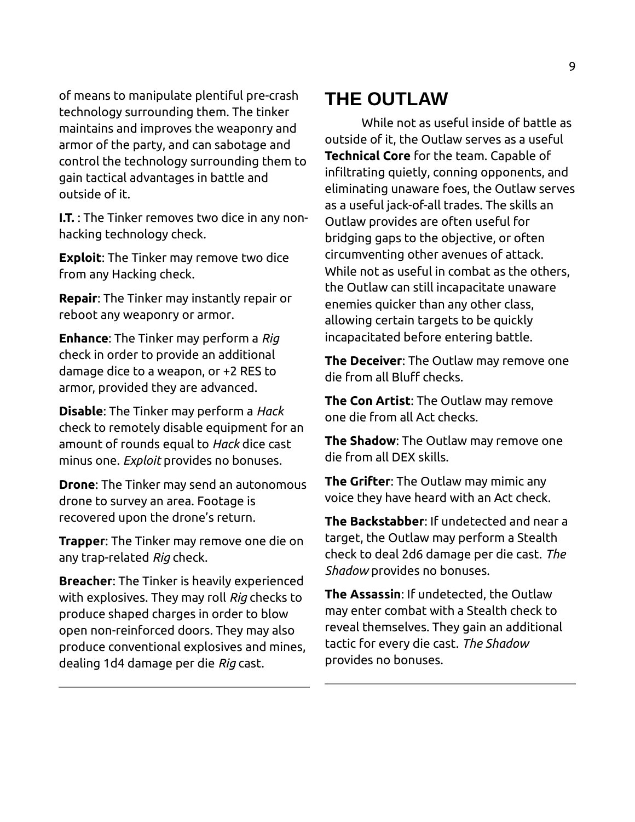of means to manipulate plentiful pre-crash technology surrounding them. The tinker maintains and improves the weaponry and armor of the party, and can sabotage and control the technology surrounding them to gain tactical advantages in battle and outside of it.

**I.T.** : The Tinker removes two dice in any nonhacking technology check.

**Exploit**: The Tinker may remove two dice from any Hacking check.

**Repair**: The Tinker may instantly repair or reboot any weaponry or armor.

**Enhance**: The Tinker may perform a *Rig* check in order to provide an additional damage dice to a weapon, or +2 RES to armor, provided they are advanced.

**Disable**: The Tinker may perform a *Hack* check to remotely disable equipment for an amount of rounds equal to *Hack* dice cast minus one. *Exploit* provides no bonuses.

**Drone**: The Tinker may send an autonomous drone to survey an area. Footage is recovered upon the drone's return.

**Trapper**: The Tinker may remove one die on any trap-related *Rig* check.

**Breacher**: The Tinker is heavily experienced with explosives. They may roll *Rig* checks to produce shaped charges in order to blow open non-reinforced doors. They may also produce conventional explosives and mines, dealing 1d4 damage per die *Rig* cast.

### <span id="page-8-0"></span>**THE OUTLAW**

While not as useful inside of battle as outside of it, the Outlaw serves as a useful **Technical Core** for the team. Capable of infiltrating quietly, conning opponents, and eliminating unaware foes, the Outlaw serves as a useful jack-of-all trades. The skills an Outlaw provides are often useful for bridging gaps to the objective, or often circumventing other avenues of attack. While not as useful in combat as the others, the Outlaw can still incapacitate unaware enemies quicker than any other class, allowing certain targets to be quickly incapacitated before entering battle.

**The Deceiver**: The Outlaw may remove one die from all Bluff checks.

**The Con Artist**: The Outlaw may remove one die from all Act checks.

**The Shadow**: The Outlaw may remove one die from all DEX skills.

**The Grifter**: The Outlaw may mimic any voice they have heard with an Act check.

**The Backstabber**: If undetected and near a target, the Outlaw may perform a Stealth check to deal 2d6 damage per die cast. *The Shadow* provides no bonuses.

**The Assassin**: If undetected, the Outlaw may enter combat with a Stealth check to reveal themselves. They gain an additional tactic for every die cast. *The Shadow* provides no bonuses.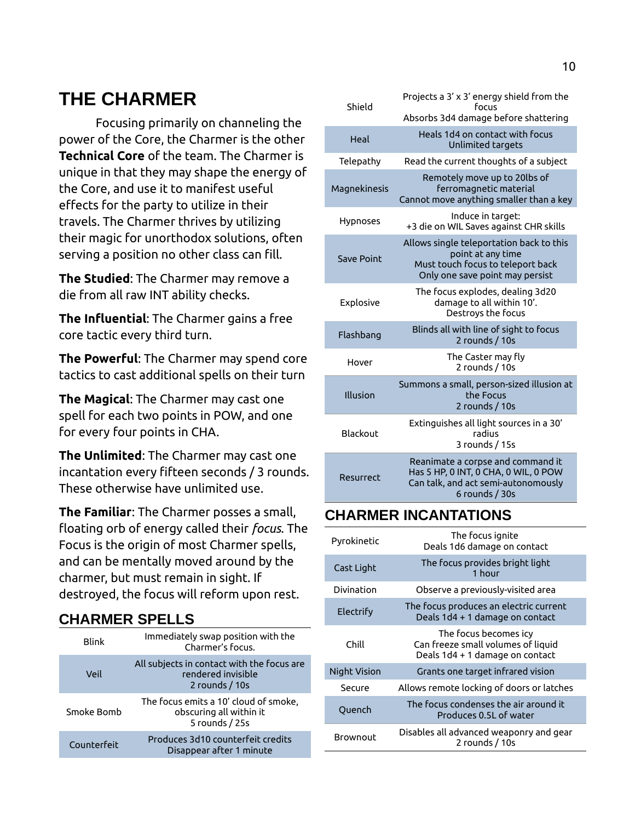## <span id="page-9-2"></span>**THE CHARMER**

Focusing primarily on channeling the power of the Core, the Charmer is the other **Technical Core** of the team. The Charmer is unique in that they may shape the energy of the Core, and use it to manifest useful effects for the party to utilize in their travels. The Charmer thrives by utilizing their magic for unorthodox solutions, often serving a position no other class can fill.

**The Studied**: The Charmer may remove a die from all raw INT ability checks.

**The Influential**: The Charmer gains a free core tactic every third turn.

**The Powerful**: The Charmer may spend core tactics to cast additional spells on their turn

**The Magical**: The Charmer may cast one spell for each two points in POW, and one for every four points in CHA.

**The Unlimited**: The Charmer may cast one incantation every fifteen seconds / 3 rounds. These otherwise have unlimited use.

**The Familiar**: The Charmer posses a small, floating orb of energy called their *focus*. The Focus is the origin of most Charmer spells, and can be mentally moved around by the charmer, but must remain in sight. If destroyed, the focus will reform upon rest.

#### <span id="page-9-1"></span>**CHARMER SPELLS**

| <b>Blink</b> | Immediately swap position with the<br>Charmer's focus.                             |
|--------------|------------------------------------------------------------------------------------|
| Veil         | All subjects in contact with the focus are<br>rendered invisible<br>2 rounds / 10s |
| Smoke Bomb   | The focus emits a 10' cloud of smoke,<br>obscuring all within it<br>5 rounds / 25s |
| Counterfeit  | Produces 3d10 counterfeit credits<br>Disappear after 1 minute                      |

| Shield            | Projects a 3' x 3' energy shield from the<br>focus                                                                                    |
|-------------------|---------------------------------------------------------------------------------------------------------------------------------------|
|                   | Absorbs 3d4 damage before shattering                                                                                                  |
| Heal              | Heals 1d4 on contact with focus<br>Unlimited targets                                                                                  |
| Telepathy         | Read the current thoughts of a subject                                                                                                |
| Magnekinesis      | Remotely move up to 20lbs of<br>ferromagnetic material<br>Cannot move anything smaller than a key                                     |
| Hypnoses          | Induce in target:<br>+3 die on WIL Saves against CHR skills                                                                           |
| <b>Save Point</b> | Allows single teleportation back to this<br>point at any time<br>Must touch focus to teleport back<br>Only one save point may persist |
| Explosive         | The focus explodes, dealing 3d20<br>damage to all within 10'.<br>Destroys the focus                                                   |
| Flashbang         | Blinds all with line of sight to focus<br>2 rounds / 10s                                                                              |
| Hover             | The Caster may fly<br>2 rounds / 10s                                                                                                  |
| Illusion          | Summons a small, person-sized illusion at<br>the Focus<br>2 rounds / 10s                                                              |
| Blackout          | Extinguishes all light sources in a 30'<br>radius<br>3 rounds / 15s                                                                   |
| Resurrect         | Reanimate a corpse and command it<br>Has 5 HP, 0 INT, 0 CHA, 0 WIL, 0 POW<br>Can talk, and act semi-autonomously<br>6 rounds $/30s$   |

### <span id="page-9-0"></span>**CHARMER INCANTATIONS**

| Pyrokinetic  | The focus ignite<br>Deals 1d6 damage on contact                                                |
|--------------|------------------------------------------------------------------------------------------------|
| Cast Light   | The focus provides bright light<br>1 hour                                                      |
| Divination   | Observe a previously-visited area                                                              |
| Electrify    | The focus produces an electric current<br>Deals 1d4 + 1 damage on contact                      |
| Chill        | The focus becomes icy<br>Can freeze small volumes of liquid<br>Deals 1d4 + 1 damage on contact |
| Night Vision | Grants one target infrared vision                                                              |
| Secure       | Allows remote locking of doors or latches                                                      |
| Quench       | The focus condenses the air around it<br>Produces 0.51 of water                                |
| Brownout     | Disables all advanced weaponry and gear<br>2 rounds / 10s                                      |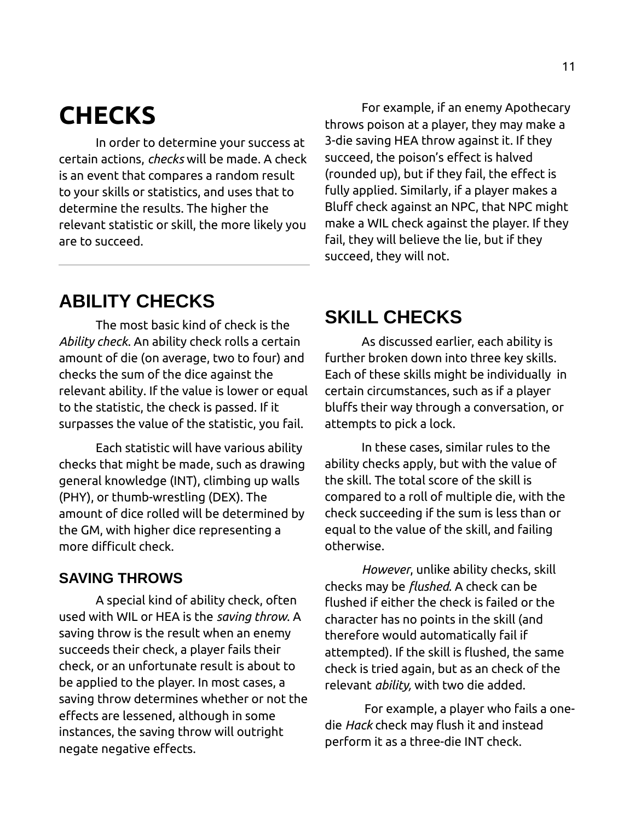# <span id="page-10-3"></span>**CHECKS**

In order to determine your success at certain actions, *checks* will be made. A check is an event that compares a random result to your skills or statistics, and uses that to determine the results. The higher the relevant statistic or skill, the more likely you are to succeed.

For example, if an enemy Apothecary throws poison at a player, they may make a 3-die saving HEA throw against it. If they succeed, the poison's effect is halved (rounded up), but if they fail, the effect is fully applied. Similarly, if a player makes a Bluff check against an NPC, that NPC might make a WIL check against the player. If they fail, they will believe the lie, but if they succeed, they will not.

### <span id="page-10-2"></span>**ABILITY CHECKS**

The most basic kind of check is the *Ability check*. An ability check rolls a certain amount of die (on average, two to four) and checks the sum of the dice against the relevant ability. If the value is lower or equal to the statistic, the check is passed. If it surpasses the value of the statistic, you fail.

Each statistic will have various ability checks that might be made, such as drawing general knowledge (INT), climbing up walls (PHY), or thumb-wrestling (DEX). The amount of dice rolled will be determined by the GM, with higher dice representing a more difficult check.

#### <span id="page-10-1"></span>**SAVING THROWS**

A special kind of ability check, often used with WIL or HEA is the *saving throw*. A saving throw is the result when an enemy succeeds their check, a player fails their check, or an unfortunate result is about to be applied to the player. In most cases, a saving throw determines whether or not the effects are lessened, although in some instances, the saving throw will outright negate negative effects.

### <span id="page-10-0"></span>**SKILL CHECKS**

As discussed earlier, each ability is further broken down into three key skills. Each of these skills might be individually in certain circumstances, such as if a player bluffs their way through a conversation, or attempts to pick a lock.

In these cases, similar rules to the ability checks apply, but with the value of the skill. The total score of the skill is compared to a roll of multiple die, with the check succeeding if the sum is less than or equal to the value of the skill, and failing otherwise.

*However*, unlike ability checks, skill checks may be *flushed*. A check can be flushed if either the check is failed or the character has no points in the skill (and therefore would automatically fail if attempted). If the skill is flushed, the same check is tried again, but as an check of the relevant *ability,* with two die added.

 For example, a player who fails a onedie *Hack* check may flush it and instead perform it as a three-die INT check.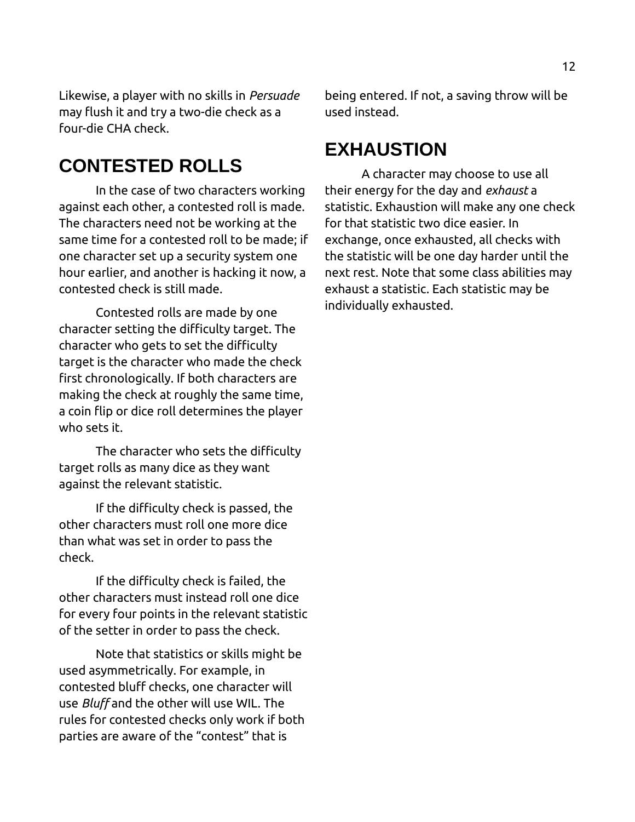Likewise, a player with no skills in *Persuade* may flush it and try a two-die check as a four-die CHA check.

### <span id="page-11-1"></span>**CONTESTED ROLLS**

In the case of two characters working against each other, a contested roll is made. The characters need not be working at the same time for a contested roll to be made; if one character set up a security system one hour earlier, and another is hacking it now, a contested check is still made.

Contested rolls are made by one character setting the difficulty target. The character who gets to set the difficulty target is the character who made the check first chronologically. If both characters are making the check at roughly the same time, a coin flip or dice roll determines the player who sets it.

The character who sets the difficulty target rolls as many dice as they want against the relevant statistic.

If the difficulty check is passed, the other characters must roll one more dice than what was set in order to pass the check.

If the difficulty check is failed, the other characters must instead roll one dice for every four points in the relevant statistic of the setter in order to pass the check.

Note that statistics or skills might be used asymmetrically. For example, in contested bluff checks, one character will use *Bluff* and the other will use WIL. The rules for contested checks only work if both parties are aware of the "contest" that is

being entered. If not, a saving throw will be used instead.

### <span id="page-11-0"></span>**EXHAUSTION**

A character may choose to use all their energy for the day and *exhaust* a statistic. Exhaustion will make any one check for that statistic two dice easier. In exchange, once exhausted, all checks with the statistic will be one day harder until the next rest. Note that some class abilities may exhaust a statistic. Each statistic may be individually exhausted.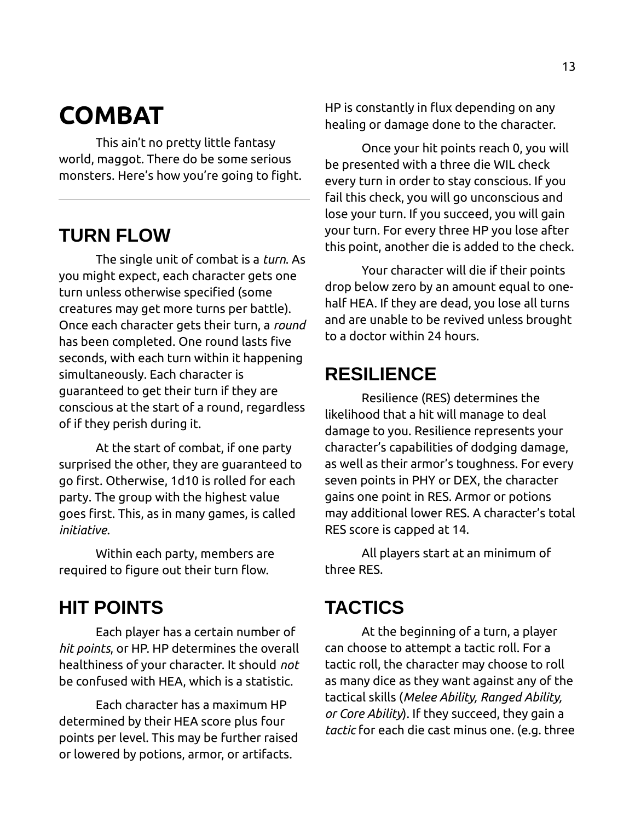# <span id="page-12-4"></span>**COMBAT**

This ain't no pretty little fantasy world, maggot. There do be some serious monsters. Here's how you're going to fight.

# <span id="page-12-3"></span>**TURN FLOW**

The single unit of combat is a *turn*. As you might expect, each character gets one turn unless otherwise specified (some creatures may get more turns per battle). Once each character gets their turn, a *round* has been completed. One round lasts five seconds, with each turn within it happening simultaneously. Each character is guaranteed to get their turn if they are conscious at the start of a round, regardless of if they perish during it.

At the start of combat, if one party surprised the other, they are guaranteed to go first. Otherwise, 1d10 is rolled for each party. The group with the highest value goes first. This, as in many games, is called *initiative*.

Within each party, members are required to figure out their turn flow.

### <span id="page-12-2"></span>**HIT POINTS**

Each player has a certain number of *hit points*, or HP. HP determines the overall healthiness of your character. It should *not* be confused with HEA, which is a statistic.

Each character has a maximum HP determined by their HEA score plus four points per level. This may be further raised or lowered by potions, armor, or artifacts.

HP is constantly in flux depending on any healing or damage done to the character.

Once your hit points reach 0, you will be presented with a three die WIL check every turn in order to stay conscious. If you fail this check, you will go unconscious and lose your turn. If you succeed, you will gain your turn. For every three HP you lose after this point, another die is added to the check.

Your character will die if their points drop below zero by an amount equal to onehalf HEA. If they are dead, you lose all turns and are unable to be revived unless brought to a doctor within 24 hours.

## <span id="page-12-1"></span>**RESILIENCE**

Resilience (RES) determines the likelihood that a hit will manage to deal damage to you. Resilience represents your character's capabilities of dodging damage, as well as their armor's toughness. For every seven points in PHY or DEX, the character gains one point in RES. Armor or potions may additional lower RES. A character's total RES score is capped at 14.

All players start at an minimum of three RES.

# <span id="page-12-0"></span>**TACTICS**

At the beginning of a turn, a player can choose to attempt a tactic roll. For a tactic roll, the character may choose to roll as many dice as they want against any of the tactical skills (*Melee Ability, Ranged Ability, or Core Ability*). If they succeed, they gain a *tactic* for each die cast minus one. (e.g. three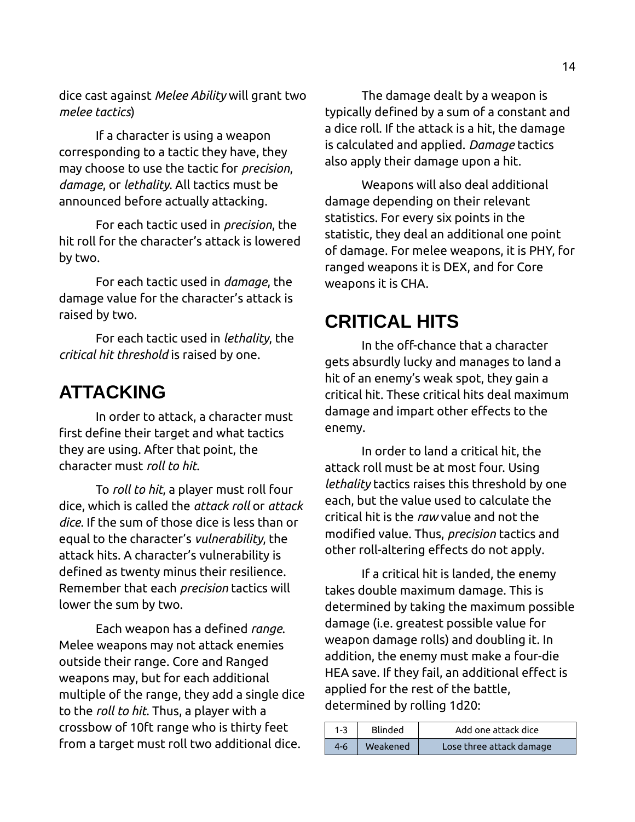dice cast against *Melee Ability* will grant two *melee tactics*)

If a character is using a weapon corresponding to a tactic they have, they may choose to use the tactic for *precision*, *damage*, or *lethality*. All tactics must be announced before actually attacking.

For each tactic used in *precision*, the hit roll for the character's attack is lowered by two.

For each tactic used in *damage*, the damage value for the character's attack is raised by two.

For each tactic used in *lethality*, the *critical hit threshold* is raised by one.

### <span id="page-13-1"></span>**ATTACKING**

In order to attack, a character must first define their target and what tactics they are using. After that point, the character must *roll to hit*.

To *roll to hit*, a player must roll four dice, which is called the *attack roll* or *attack dice*. If the sum of those dice is less than or equal to the character's *vulnerability*, the attack hits. A character's vulnerability is defined as twenty minus their resilience. Remember that each *precision* tactics will lower the sum by two.

Each weapon has a defined *range*. Melee weapons may not attack enemies outside their range. Core and Ranged weapons may, but for each additional multiple of the range, they add a single dice to the *roll to hit*. Thus, a player with a crossbow of 10ft range who is thirty feet from a target must roll two additional dice.

The damage dealt by a weapon is typically defined by a sum of a constant and a dice roll. If the attack is a hit, the damage is calculated and applied. *Damage* tactics also apply their damage upon a hit.

Weapons will also deal additional damage depending on their relevant statistics. For every six points in the statistic, they deal an additional one point of damage. For melee weapons, it is PHY, for ranged weapons it is DEX, and for Core weapons it is CHA.

### <span id="page-13-0"></span>**CRITICAL HITS**

In the off-chance that a character gets absurdly lucky and manages to land a hit of an enemy's weak spot, they gain a critical hit. These critical hits deal maximum damage and impart other effects to the enemy.

In order to land a critical hit, the attack roll must be at most four. Using *lethality* tactics raises this threshold by one each, but the value used to calculate the critical hit is the *raw* value and not the modified value. Thus, *precision* tactics and other roll-altering effects do not apply.

If a critical hit is landed, the enemy takes double maximum damage. This is determined by taking the maximum possible damage (i.e. greatest possible value for weapon damage rolls) and doubling it. In addition, the enemy must make a four-die HEA save. If they fail, an additional effect is applied for the rest of the battle, determined by rolling 1d20:

| $1 - 3$ | Blinded  | Add one attack dice      |
|---------|----------|--------------------------|
| $4-6$   | Weakened | Lose three attack damage |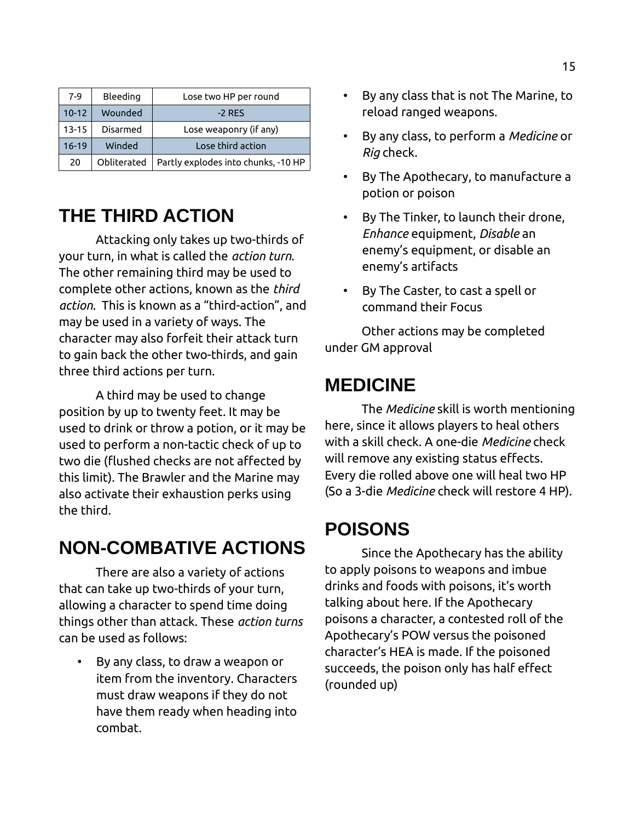| $7-9$     | Bleeding    | Lose two HP per round               |
|-----------|-------------|-------------------------------------|
| $10 - 12$ | Wounded     | $-2$ RFS                            |
| $13 - 15$ | Disarmed    | Lose weaponry (if any)              |
| $16 - 19$ | Winded      | Lose third action                   |
| 20        | Obliterated | Partly explodes into chunks, -10 HP |

# <span id="page-14-3"></span>**THE THIRD ACTION**

Attacking only takes up two-thirds of your turn, in what is called the *action turn*. The other remaining third may be used to complete other actions, known as the *third action*. This is known as a "third-action", and may be used in a variety of ways. The character may also forfeit their attack turn to gain back the other two-thirds, and gain three third actions per turn.

A third may be used to change position by up to twenty feet. It may be used to drink or throw a potion, or it may be used to perform a non-tactic check of up to two die (flushed checks are not affected by this limit). The Brawler and the Marine may also activate their exhaustion perks using the third.

# <span id="page-14-2"></span>**NON-COMBATIVE ACTIONS**

There are also a variety of actions that can take up two-thirds of your turn, allowing a character to spend time doing things other than attack. These *action turns*  can be used as follows:

• By any class, to draw a weapon or item from the inventory. Characters must draw weapons if they do not have them ready when heading into combat.

- By any class that is not The Marine, to reload ranged weapons.
- By any class, to perform a *Medicine* or *Rig* check.
- By The Apothecary, to manufacture a potion or poison
- By The Tinker, to launch their drone, *Enhance* equipment, *Disable* an enemy's equipment, or disable an enemy's artifacts
- By The Caster, to cast a spell or command their Focus

Other actions may be completed under GM approval

### <span id="page-14-1"></span>**MEDICINE**

The *Medicine* skill is worth mentioning here, since it allows players to heal others with a skill check. A one-die *Medicine* check will remove any existing status effects. Every die rolled above one will heal two HP (So a 3-die *Medicine* check will restore 4 HP).

# <span id="page-14-0"></span>**POISONS**

Since the Apothecary has the ability to apply poisons to weapons and imbue drinks and foods with poisons, it's worth talking about here. If the Apothecary poisons a character, a contested roll of the Apothecary's POW versus the poisoned character's HEA is made. If the poisoned succeeds, the poison only has half effect (rounded up)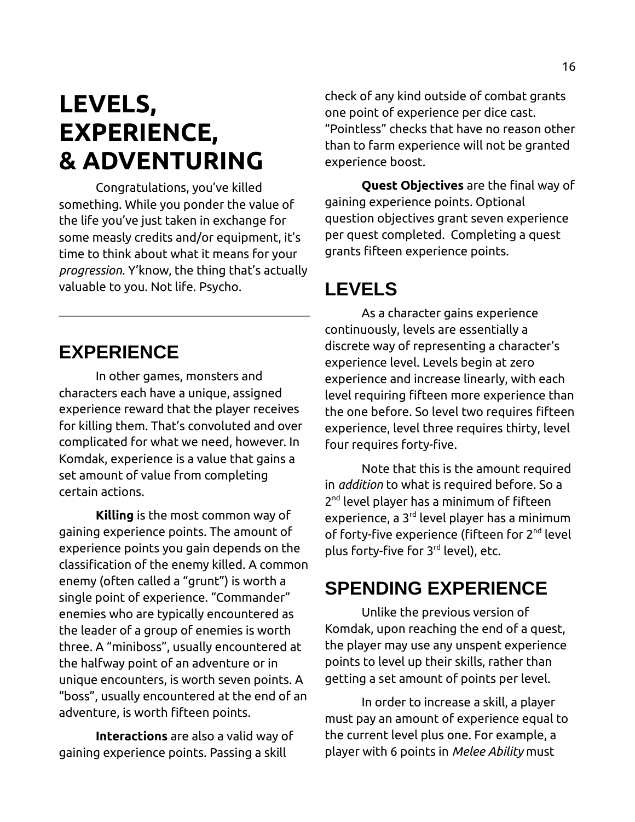# <span id="page-15-3"></span>**LEVELS, EXPERIENCE, & ADVENTURING**

Congratulations, you've killed something. While you ponder the value of the life you've just taken in exchange for some measly credits and/or equipment, it's time to think about what it means for your *progression*. Y'know, the thing that's actually valuable to you. Not life. Psycho.

<span id="page-15-2"></span>**EXPERIENCE**

In other games, monsters and characters each have a unique, assigned experience reward that the player receives for killing them. That's convoluted and over complicated for what we need, however. In Komdak, experience is a value that gains a set amount of value from completing certain actions.

**Killing** is the most common way of gaining experience points. The amount of experience points you gain depends on the classification of the enemy killed. A common enemy (often called a "grunt") is worth a single point of experience. "Commander" enemies who are typically encountered as the leader of a group of enemies is worth three. A "miniboss", usually encountered at the halfway point of an adventure or in unique encounters, is worth seven points. A "boss", usually encountered at the end of an adventure, is worth fifteen points.

**Interactions** are also a valid way of gaining experience points. Passing a skill

check of any kind outside of combat grants one point of experience per dice cast. "Pointless" checks that have no reason other than to farm experience will not be granted experience boost.

**Quest Objectives** are the final way of gaining experience points. Optional question objectives grant seven experience per quest completed. Completing a quest grants fifteen experience points.

### <span id="page-15-1"></span>**LEVELS**

As a character gains experience continuously, levels are essentially a discrete way of representing a character's experience level. Levels begin at zero experience and increase linearly, with each level requiring fifteen more experience than the one before. So level two requires fifteen experience, level three requires thirty, level four requires forty-five.

Note that this is the amount required in *addition* to what is required before. So a 2<sup>nd</sup> level player has a minimum of fifteen experience, a  $3<sup>rd</sup>$  level player has a minimum of forty-five experience (fifteen for 2<sup>nd</sup> level plus forty-five for 3rd level), etc.

### <span id="page-15-0"></span>**SPENDING EXPERIENCE**

Unlike the previous version of Komdak, upon reaching the end of a quest, the player may use any unspent experience points to level up their skills, rather than getting a set amount of points per level.

In order to increase a skill, a player must pay an amount of experience equal to the current level plus one. For example, a player with 6 points in *Melee Ability* must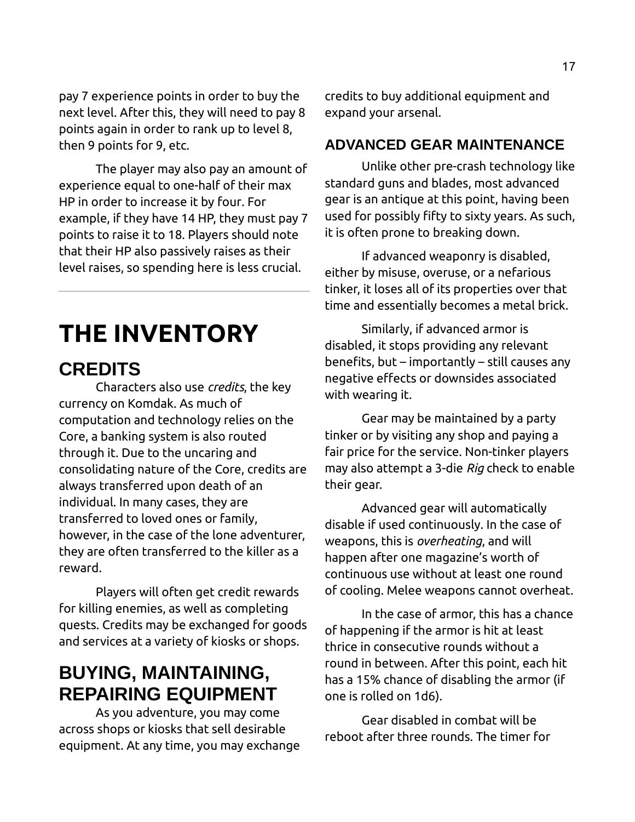pay 7 experience points in order to buy the next level. After this, they will need to pay 8 points again in order to rank up to level 8, then 9 points for 9, etc.

The player may also pay an amount of experience equal to one-half of their max HP in order to increase it by four. For example, if they have 14 HP, they must pay 7 points to raise it to 18. Players should note that their HP also passively raises as their level raises, so spending here is less crucial.

# <span id="page-16-3"></span>**THE INVENTORY**

### <span id="page-16-2"></span>**CREDITS**

Characters also use *credits*, the key currency on Komdak. As much of computation and technology relies on the Core, a banking system is also routed through it. Due to the uncaring and consolidating nature of the Core, credits are always transferred upon death of an individual. In many cases, they are transferred to loved ones or family, however, in the case of the lone adventurer, they are often transferred to the killer as a reward.

Players will often get credit rewards for killing enemies, as well as completing quests. Credits may be exchanged for goods and services at a variety of kiosks or shops.

### <span id="page-16-1"></span>**BUYING, MAINTAINING, REPAIRING EQUIPMENT**

As you adventure, you may come across shops or kiosks that sell desirable equipment. At any time, you may exchange credits to buy additional equipment and expand your arsenal.

### <span id="page-16-0"></span>**ADVANCED GEAR MAINTENANCE**

Unlike other pre-crash technology like standard guns and blades, most advanced gear is an antique at this point, having been used for possibly fifty to sixty years. As such, it is often prone to breaking down.

If advanced weaponry is disabled, either by misuse, overuse, or a nefarious tinker, it loses all of its properties over that time and essentially becomes a metal brick.

Similarly, if advanced armor is disabled, it stops providing any relevant benefits, but – importantly – still causes any negative effects or downsides associated with wearing it.

Gear may be maintained by a party tinker or by visiting any shop and paying a fair price for the service. Non-tinker players may also attempt a 3-die *Rig* check to enable their gear.

Advanced gear will automatically disable if used continuously. In the case of weapons, this is *overheating*, and will happen after one magazine's worth of continuous use without at least one round of cooling. Melee weapons cannot overheat.

In the case of armor, this has a chance of happening if the armor is hit at least thrice in consecutive rounds without a round in between. After this point, each hit has a 15% chance of disabling the armor (if one is rolled on 1d6).

Gear disabled in combat will be reboot after three rounds. The timer for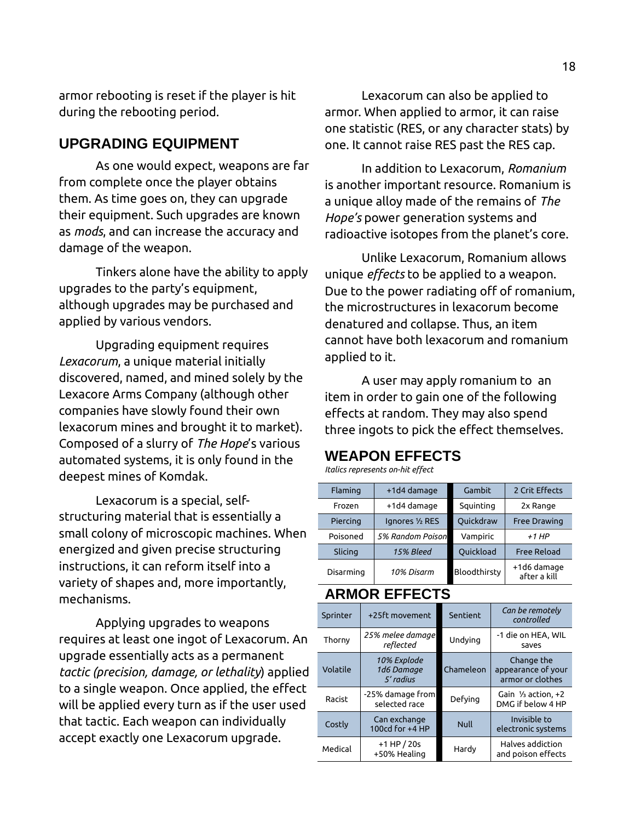armor rebooting is reset if the player is hit during the rebooting period.

#### <span id="page-17-2"></span>**UPGRADING EQUIPMENT**

As one would expect, weapons are far from complete once the player obtains them. As time goes on, they can upgrade their equipment. Such upgrades are known as *mods*, and can increase the accuracy and damage of the weapon.

Tinkers alone have the ability to apply upgrades to the party's equipment, although upgrades may be purchased and applied by various vendors.

Upgrading equipment requires *Lexacorum*, a unique material initially discovered, named, and mined solely by the Lexacore Arms Company (although other companies have slowly found their own lexacorum mines and brought it to market). Composed of a slurry of *The Hope*'s various automated systems, it is only found in the deepest mines of Komdak.

Lexacorum is a special, selfstructuring material that is essentially a small colony of microscopic machines. When energized and given precise structuring instructions, it can reform itself into a variety of shapes and, more importantly, mechanisms.

Applying upgrades to weapons requires at least one ingot of Lexacorum. An upgrade essentially acts as a permanent *tactic (precision, damage, or lethality*) applied to a single weapon. Once applied, the effect will be applied every turn as if the user used that tactic. Each weapon can individually accept exactly one Lexacorum upgrade.

Lexacorum can also be applied to armor. When applied to armor, it can raise one statistic (RES, or any character stats) by one. It cannot raise RES past the RES cap.

In addition to Lexacorum, *Romanium* is another important resource. Romanium is a unique alloy made of the remains of *The Hope's* power generation systems and radioactive isotopes from the planet's core.

Unlike Lexacorum, Romanium allows unique *effects* to be applied to a weapon. Due to the power radiating off of romanium, the microstructures in lexacorum become denatured and collapse. Thus, an item cannot have both lexacorum and romanium applied to it.

A user may apply romanium to an item in order to gain one of the following effects at random. They may also spend three ingots to pick the effect themselves.

#### <span id="page-17-1"></span>**WEAPON EFFECTS**

*Italics represents on-hit effect*

| Flaming   | +1d4 damage      | Gambit       | 2 Crit Effects              |
|-----------|------------------|--------------|-----------------------------|
| Frozen    | +1d4 damage      | Squinting    | 2x Range                    |
| Piercing  | Ignores 1/2 RES  | Quickdraw    | <b>Free Drawing</b>         |
| Poisoned  | 5% Random Poison | Vampiric     | $+1$ HP                     |
| Slicing   | 15% Bleed        | Quickload    | <b>Free Reload</b>          |
| Disarming | 10% Disarm       | Bloodthirsty | +1d6 damage<br>after a kill |

#### <span id="page-17-0"></span>**ARMOR EFFECTS**

| Sprinter | +25ft movement                         | Sentient    | Can be remotely<br>controlled                        |
|----------|----------------------------------------|-------------|------------------------------------------------------|
| Thorny   | 25% melee damage<br>reflected          | Undving     | -1 die on HEA, WIL<br>saves                          |
| Volatile | 10% Explode<br>1d6 Damaae<br>5' radius | Chameleon   | Change the<br>appearance of your<br>armor or clothes |
| Racist   | -25% damage from<br>selected race      | Defving     | Gain $\frac{1}{3}$ action. +2<br>DMG if below 4 HP   |
| Costly   | Can exchange<br>100cd for +4 HP        | <b>Null</b> | Invisible to<br>electronic systems                   |
| Medical  | $+1$ HP $/20s$<br>+50% Healing         | Hardy       | Halves addiction<br>and poison effects               |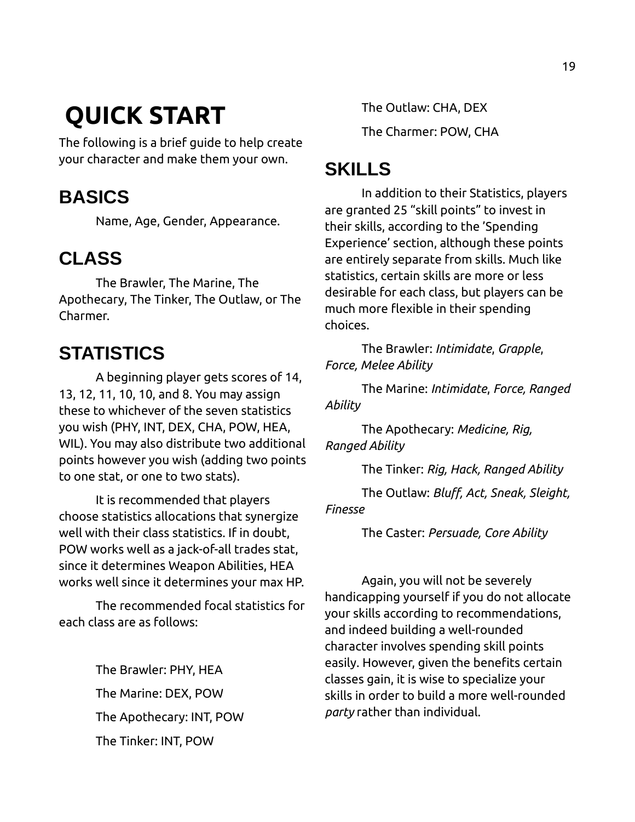# <span id="page-18-4"></span> **QUICK START**

The following is a brief guide to help create your character and make them your own.

## <span id="page-18-3"></span>**BASICS**

Name, Age, Gender, Appearance.

## <span id="page-18-2"></span>**CLASS**

The Brawler, The Marine, The Apothecary, The Tinker, The Outlaw, or The Charmer.

# <span id="page-18-1"></span>**STATISTICS**

A beginning player gets scores of 14, 13, 12, 11, 10, 10, and 8. You may assign these to whichever of the seven statistics you wish (PHY, INT, DEX, CHA, POW, HEA, WIL). You may also distribute two additional points however you wish (adding two points to one stat, or one to two stats).

It is recommended that players choose statistics allocations that synergize well with their class statistics. If in doubt, POW works well as a jack-of-all trades stat, since it determines Weapon Abilities, HEA works well since it determines your max HP.

The recommended focal statistics for each class are as follows:

> The Brawler: PHY, HEA The Marine: DEX, POW The Apothecary: INT, POW The Tinker: INT, POW

The Outlaw: CHA, DEX The Charmer: POW, CHA

# <span id="page-18-0"></span>**SKILLS**

In addition to their Statistics, players are granted 25 "skill points" to invest in their skills, according to the 'Spending Experience' section, although these points are entirely separate from skills. Much like statistics, certain skills are more or less desirable for each class, but players can be much more flexible in their spending choices.

The Brawler: *Intimidate*, *Grapple*, *Force, Melee Ability*

The Marine: *Intimidate*, *Force, Ranged Ability*

The Apothecary: *Medicine, Rig, Ranged Ability*

The Tinker: *Rig, Hack, Ranged Ability*

The Outlaw: *Bluff, Act, Sneak, Sleight, Finesse*

The Caster: *Persuade, Core Ability*

Again, you will not be severely handicapping yourself if you do not allocate your skills according to recommendations, and indeed building a well-rounded character involves spending skill points easily. However, given the benefits certain classes gain, it is wise to specialize your skills in order to build a more well-rounded *party* rather than individual.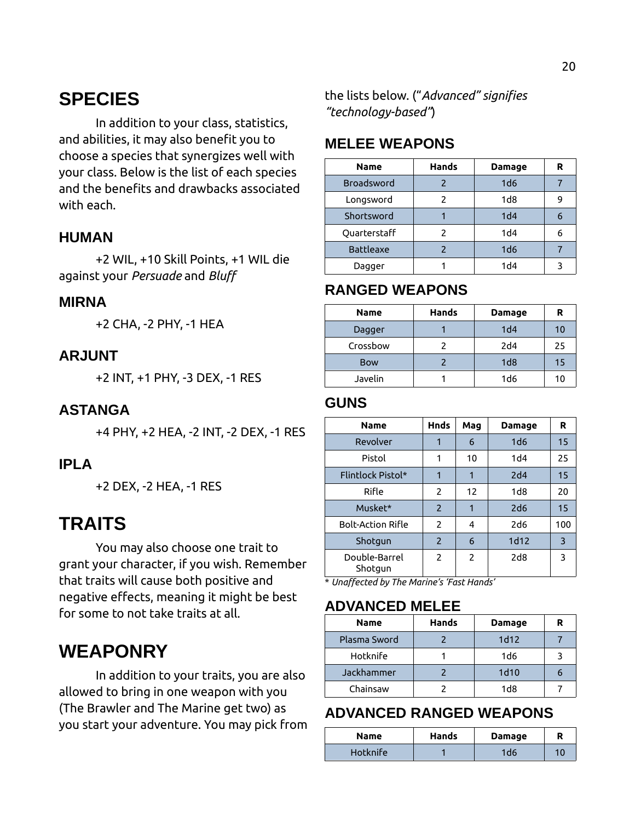### <span id="page-19-12"></span>**SPECIES**

In addition to your class, statistics, and abilities, it may also benefit you to choose a species that synergizes well with your class. Below is the list of each species and the benefits and drawbacks associated with each.

#### <span id="page-19-11"></span>**HUMAN**

+2 WIL, +10 Skill Points, +1 WIL die against your *Persuade* and *Bluff*

#### <span id="page-19-10"></span>**MIRNA**

+2 CHA, -2 PHY, -1 HEA

#### <span id="page-19-9"></span>**ARJUNT**

+2 INT, +1 PHY, -3 DEX, -1 RES

#### <span id="page-19-8"></span>**ASTANGA**

+4 PHY, +2 HEA, -2 INT, -2 DEX, -1 RES

#### <span id="page-19-7"></span>**IPLA**

+2 DEX, -2 HEA, -1 RES

### <span id="page-19-6"></span>**TRAITS**

You may also choose one trait to grant your character, if you wish. Remember that traits will cause both positive and negative effects, meaning it might be best for some to not take traits at all.

### <span id="page-19-5"></span>**WEAPONRY**

In addition to your traits, you are also allowed to bring in one weapon with you (The Brawler and The Marine get two) as you start your adventure. You may pick from the lists below. ("*Advanced" signifies "technology-based"*)

#### <span id="page-19-4"></span>**MELEE WEAPONS**

| <b>Name</b>       | <b>Hands</b>  | <b>Damage</b>   | R |
|-------------------|---------------|-----------------|---|
| <b>Broadsword</b> |               | 1d6             |   |
| Longsword         | $\mathcal{P}$ | 1 <sub>d8</sub> | 9 |
| Shortsword        |               | 1 <sub>d4</sub> | 6 |
| Quarterstaff      |               | 1 <sub>d4</sub> | 6 |
| <b>Battleaxe</b>  |               | 1d6             |   |
| Dagger            |               | 1 <sub>d4</sub> |   |
|                   |               |                 |   |

#### <span id="page-19-3"></span>**RANGED WEAPONS**

| <b>Name</b> | <b>Hands</b> | Damage          | R  |
|-------------|--------------|-----------------|----|
| Dagger      |              | 1 <sub>d4</sub> | 10 |
| Crossbow    |              | 2d4             | 25 |
| <b>Bow</b>  |              | 1 <sub>d8</sub> | 15 |
| Javelin     |              | 1d6             | 10 |

#### <span id="page-19-2"></span>**GUNS**

| <b>Name</b>              | <b>Hnds</b>              | Mag           | Damage          | R   |
|--------------------------|--------------------------|---------------|-----------------|-----|
| Revolver                 | 1                        | 6             | 1 <sub>d6</sub> | 15  |
| Pistol                   | 1                        | 10            | 1 <sub>d4</sub> | 25  |
| Flintlock Pistol*        | 1                        | 1             | 2d4             | 15  |
| Rifle                    | 2                        | 12            | 1 <sub>dB</sub> | 20  |
| Musket*                  | $\overline{\phantom{0}}$ | 1             | 2d6             | 15  |
| <b>Bolt-Action Rifle</b> | $\overline{2}$           | 4             | 2d6             | 100 |
| Shotgun                  | $\overline{2}$           | 6             | 1d12            | 3   |
| Double-Barrel<br>Shotgun | $\overline{2}$           | $\mathcal{P}$ | 2d8             | 3   |

\* *Unaffected by The Marine's 'Fast Hands'*

#### <span id="page-19-1"></span>**ADVANCED MELEE**

| <b>Name</b>  | Hands | Damage          | R |
|--------------|-------|-----------------|---|
| Plasma Sword |       | 1d12            |   |
| Hotknife     |       | 1d6             |   |
| Jackhammer   |       | 1d10            |   |
| Chainsaw     |       | 1 <sub>dB</sub> |   |

#### <span id="page-19-0"></span>**ADVANCED RANGED WEAPONS**

| Name     | Hands | <b>Damage</b> | R  |
|----------|-------|---------------|----|
| Hotknife |       | ld6           | 10 |